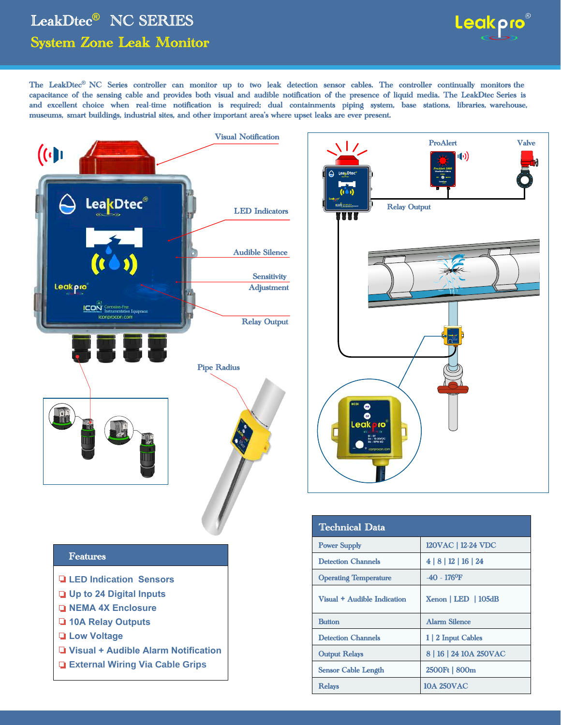## LeakDtec**®** NC SERIES System Zone Leak Monitor



The LeakDtec**®** NC Series controller can monitor up to two leak detection sensor cables. The controller continually monitors the capacitance of the sensing cable and provides both visual and audible notification of the presence of liquid media. The LeakDtec Series is and excellent choice when real-time notification is required; dual containments piping system, base stations, libraries, warehouse, museums, smart buildings, industrial sites, and other important area's where upset leaks are ever present.



- 
- **External Wiring Via Cable Grips**



| Technical Data               |                            |
|------------------------------|----------------------------|
| <b>Power Supply</b>          | 120VAC   12-24 VDC         |
| <b>Detection Channels</b>    | 4 8 12 16 24               |
| <b>Operating Temperature</b> | $-40 - 176$ <sup>o</sup> F |
| Visual + Audible Indication  | $Xenon$   LED   105dB      |
| <b>Button</b>                | <b>Alarm Silence</b>       |
| <b>Detection Channels</b>    | 1   2 Input Cables         |
| <b>Output Relays</b>         | 8   16   24 10A 250VAC     |
| Sensor Cable Length          | 2500Ft   800m              |
| <b>Relays</b>                | <b>10A 250VAC</b>          |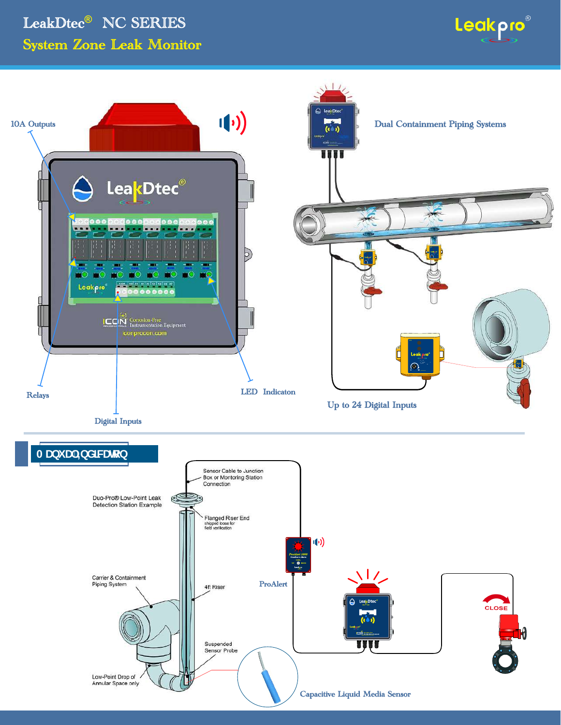## LeakDtec® NC SERIES **System Zone Leak Monitor**